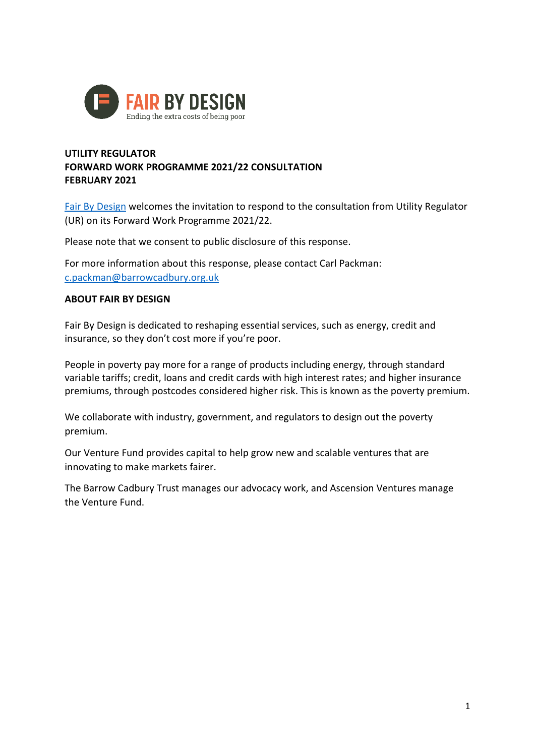

#### **UTILITY REGULATOR FORWARD WORK PROGRAMME 2021/22 CONSULTATION FEBRUARY 2021**

[Fair By Design](https://fairbydesign.com/) welcomes the invitation to respond to the consultation from Utility Regulator (UR) on its Forward Work Programme 2021/22.

Please note that we consent to public disclosure of this response.

For more information about this response, please contact Carl Packman: [c.packman@barrowcadbury.org.uk](mailto:c.packman@barrowcadbury.org.uk)

#### **ABOUT FAIR BY DESIGN**

Fair By Design is dedicated to reshaping essential services, such as energy, credit and insurance, so they don't cost more if you're poor.

People in poverty pay more for a range of products including energy, through standard variable tariffs; credit, loans and credit cards with high interest rates; and higher insurance premiums, through postcodes considered higher risk. This is known as the poverty premium.

We collaborate with industry, government, and regulators to design out the poverty premium.

Our Venture Fund provides capital to help grow new and scalable ventures that are innovating to make markets fairer.

The Barrow Cadbury Trust manages our advocacy work, and Ascension Ventures manage the Venture Fund.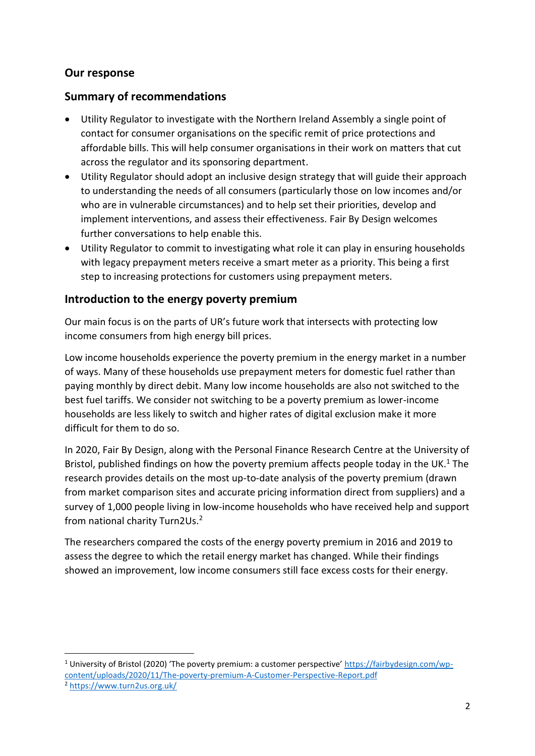## **Our response**

**.** 

### **Summary of recommendations**

- Utility Regulator to investigate with the Northern Ireland Assembly a single point of contact for consumer organisations on the specific remit of price protections and affordable bills. This will help consumer organisations in their work on matters that cut across the regulator and its sponsoring department.
- Utility Regulator should adopt an inclusive design strategy that will guide their approach to understanding the needs of all consumers (particularly those on low incomes and/or who are in vulnerable circumstances) and to help set their priorities, develop and implement interventions, and assess their effectiveness. Fair By Design welcomes further conversations to help enable this.
- Utility Regulator to commit to investigating what role it can play in ensuring households with legacy prepayment meters receive a smart meter as a priority. This being a first step to increasing protections for customers using prepayment meters.

#### **Introduction to the energy poverty premium**

Our main focus is on the parts of UR's future work that intersects with protecting low income consumers from high energy bill prices.

Low income households experience the poverty premium in the energy market in a number of ways. Many of these households use prepayment meters for domestic fuel rather than paying monthly by direct debit. Many low income households are also not switched to the best fuel tariffs. We consider not switching to be a poverty premium as lower-income households are less likely to switch and higher rates of digital exclusion make it more difficult for them to do so.

In 2020, Fair By Design, along with the Personal Finance Research Centre at the University of Bristol, published findings on how the poverty premium affects people today in the UK.<sup>1</sup> The research provides details on the most up-to-date analysis of the poverty premium (drawn from market comparison sites and accurate pricing information direct from suppliers) and a survey of 1,000 people living in low-income households who have received help and support from national charity Turn2Us. 2

The researchers compared the costs of the energy poverty premium in 2016 and 2019 to assess the degree to which the retail energy market has changed. While their findings showed an improvement, low income consumers still face excess costs for their energy.

<sup>&</sup>lt;sup>1</sup> University of Bristol (2020) 'The poverty premium: a customer perspective' [https://fairbydesign.com/wp](https://fairbydesign.com/wp-content/uploads/2020/11/The-poverty-premium-A-Customer-Perspective-Report.pdf)[content/uploads/2020/11/The-poverty-premium-A-Customer-Perspective-Report.pdf](https://fairbydesign.com/wp-content/uploads/2020/11/The-poverty-premium-A-Customer-Perspective-Report.pdf) <sup>2</sup> <https://www.turn2us.org.uk/>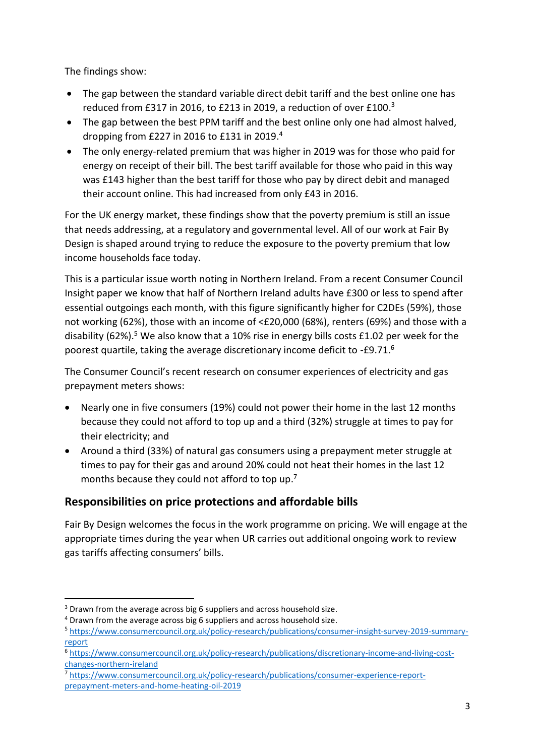The findings show:

- The gap between the standard variable direct debit tariff and the best online one has reduced from £317 in 2016, to £213 in 2019, a reduction of over £100.<sup>3</sup>
- The gap between the best PPM tariff and the best online only one had almost halved, dropping from £227 in 2016 to £131 in 2019. 4
- The only energy-related premium that was higher in 2019 was for those who paid for energy on receipt of their bill. The best tariff available for those who paid in this way was £143 higher than the best tariff for those who pay by direct debit and managed their account online. This had increased from only £43 in 2016.

For the UK energy market, these findings show that the poverty premium is still an issue that needs addressing, at a regulatory and governmental level. All of our work at Fair By Design is shaped around trying to reduce the exposure to the poverty premium that low income households face today.

This is a particular issue worth noting in Northern Ireland. From a recent Consumer Council Insight paper we know that half of Northern Ireland adults have £300 or less to spend after essential outgoings each month, with this figure significantly higher for C2DEs (59%), those not working (62%), those with an income of <£20,000 (68%), renters (69%) and those with a disability (62%).<sup>5</sup> We also know that a 10% rise in energy bills costs £1.02 per week for the poorest quartile, taking the average discretionary income deficit to -£9.71. $^6$ 

The Consumer Council's recent research on consumer experiences of electricity and gas prepayment meters shows:

- Nearly one in five consumers (19%) could not power their home in the last 12 months because they could not afford to top up and a third (32%) struggle at times to pay for their electricity; and
- Around a third (33%) of natural gas consumers using a prepayment meter struggle at times to pay for their gas and around 20% could not heat their homes in the last 12 months because they could not afford to top up.<sup>7</sup>

# **Responsibilities on price protections and affordable bills**

Fair By Design welcomes the focus in the work programme on pricing. We will engage at the appropriate times during the year when UR carries out additional ongoing work to review gas tariffs affecting consumers' bills.

**.** 

<sup>&</sup>lt;sup>3</sup> Drawn from the average across big 6 suppliers and across household size.

<sup>&</sup>lt;sup>4</sup> Drawn from the average across big 6 suppliers and across household size.

<sup>5</sup> [https://www.consumercouncil.org.uk/policy-research/publications/consumer-insight-survey-2019-summary](https://www.consumercouncil.org.uk/policy-research/publications/consumer-insight-survey-2019-summary-report)[report](https://www.consumercouncil.org.uk/policy-research/publications/consumer-insight-survey-2019-summary-report)

<sup>6</sup> [https://www.consumercouncil.org.uk/policy-research/publications/discretionary-income-and-living-cost](https://www.consumercouncil.org.uk/policy-research/publications/discretionary-income-and-living-cost-changes-northern-ireland)[changes-northern-ireland](https://www.consumercouncil.org.uk/policy-research/publications/discretionary-income-and-living-cost-changes-northern-ireland)

<sup>7</sup> [https://www.consumercouncil.org.uk/policy-research/publications/consumer-experience-report](https://www.consumercouncil.org.uk/policy-research/publications/consumer-experience-report-prepayment-meters-and-home-heating-oil-2019)[prepayment-meters-and-home-heating-oil-2019](https://www.consumercouncil.org.uk/policy-research/publications/consumer-experience-report-prepayment-meters-and-home-heating-oil-2019)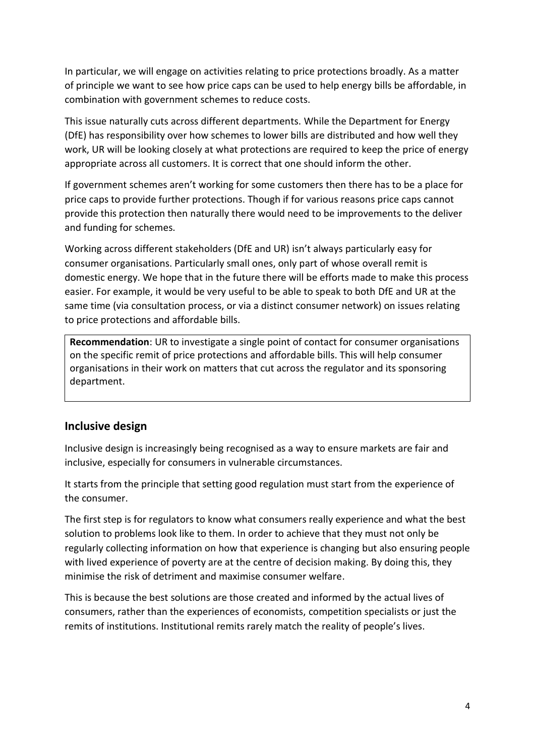In particular, we will engage on activities relating to price protections broadly. As a matter of principle we want to see how price caps can be used to help energy bills be affordable, in combination with government schemes to reduce costs.

This issue naturally cuts across different departments. While the Department for Energy (DfE) has responsibility over how schemes to lower bills are distributed and how well they work, UR will be looking closely at what protections are required to keep the price of energy appropriate across all customers. It is correct that one should inform the other.

If government schemes aren't working for some customers then there has to be a place for price caps to provide further protections. Though if for various reasons price caps cannot provide this protection then naturally there would need to be improvements to the deliver and funding for schemes.

Working across different stakeholders (DfE and UR) isn't always particularly easy for consumer organisations. Particularly small ones, only part of whose overall remit is domestic energy. We hope that in the future there will be efforts made to make this process easier. For example, it would be very useful to be able to speak to both DfE and UR at the same time (via consultation process, or via a distinct consumer network) on issues relating to price protections and affordable bills.

**Recommendation**: UR to investigate a single point of contact for consumer organisations on the specific remit of price protections and affordable bills. This will help consumer organisations in their work on matters that cut across the regulator and its sponsoring department.

#### **Inclusive design**

Inclusive design is increasingly being recognised as a way to ensure markets are fair and inclusive, especially for consumers in vulnerable circumstances.

It starts from the principle that setting good regulation must start from the experience of the consumer.

The first step is for regulators to know what consumers really experience and what the best solution to problems look like to them. In order to achieve that they must not only be regularly collecting information on how that experience is changing but also ensuring people with lived experience of poverty are at the centre of decision making. By doing this, they minimise the risk of detriment and maximise consumer welfare.

This is because the best solutions are those created and informed by the actual lives of consumers, rather than the experiences of economists, competition specialists or just the remits of institutions. Institutional remits rarely match the reality of people's lives.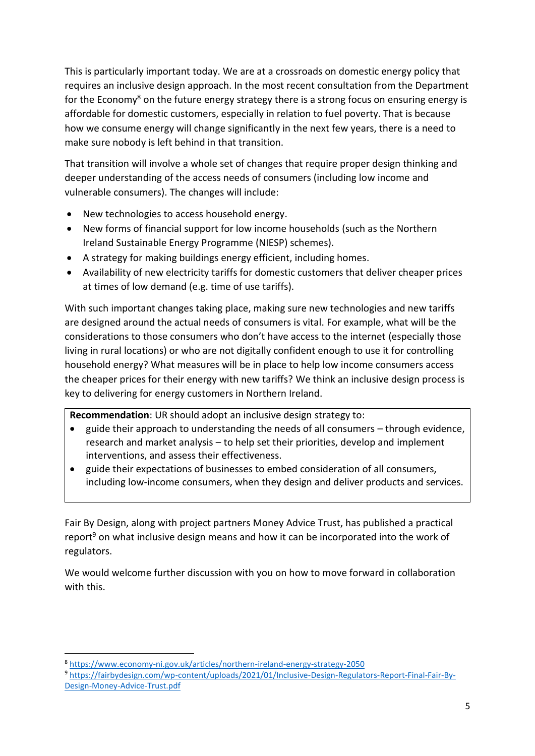This is particularly important today. We are at a crossroads on domestic energy policy that requires an inclusive design approach. In the most recent consultation from the Department for the Economy<sup>8</sup> on the future energy strategy there is a strong focus on ensuring energy is affordable for domestic customers, especially in relation to fuel poverty. That is because how we consume energy will change significantly in the next few years, there is a need to make sure nobody is left behind in that transition.

That transition will involve a whole set of changes that require proper design thinking and deeper understanding of the access needs of consumers (including low income and vulnerable consumers). The changes will include:

- New technologies to access household energy.
- New forms of financial support for low income households (such as the Northern Ireland Sustainable Energy Programme (NIESP) schemes).
- A strategy for making buildings energy efficient, including homes.
- Availability of new electricity tariffs for domestic customers that deliver cheaper prices at times of low demand (e.g. time of use tariffs).

With such important changes taking place, making sure new technologies and new tariffs are designed around the actual needs of consumers is vital. For example, what will be the considerations to those consumers who don't have access to the internet (especially those living in rural locations) or who are not digitally confident enough to use it for controlling household energy? What measures will be in place to help low income consumers access the cheaper prices for their energy with new tariffs? We think an inclusive design process is key to delivering for energy customers in Northern Ireland.

**Recommendation**: UR should adopt an inclusive design strategy to:

- guide their approach to understanding the needs of all consumers through evidence, research and market analysis – to help set their priorities, develop and implement interventions, and assess their effectiveness.
- guide their expectations of businesses to embed consideration of all consumers, including low-income consumers, when they design and deliver products and services.

Fair By Design, along with project partners Money Advice Trust, has published a practical report<sup>9</sup> on what inclusive design means and how it can be incorporated into the work of regulators.

We would welcome further discussion with you on how to move forward in collaboration with this.

**.** 

<sup>8</sup> <https://www.economy-ni.gov.uk/articles/northern-ireland-energy-strategy-2050>

<sup>9</sup> [https://fairbydesign.com/wp-content/uploads/2021/01/Inclusive-Design-Regulators-Report-Final-Fair-By-](https://fairbydesign.com/wp-content/uploads/2021/01/Inclusive-Design-Regulators-Report-Final-Fair-By-Design-Money-Advice-Trust.pdf)[Design-Money-Advice-Trust.pdf](https://fairbydesign.com/wp-content/uploads/2021/01/Inclusive-Design-Regulators-Report-Final-Fair-By-Design-Money-Advice-Trust.pdf)